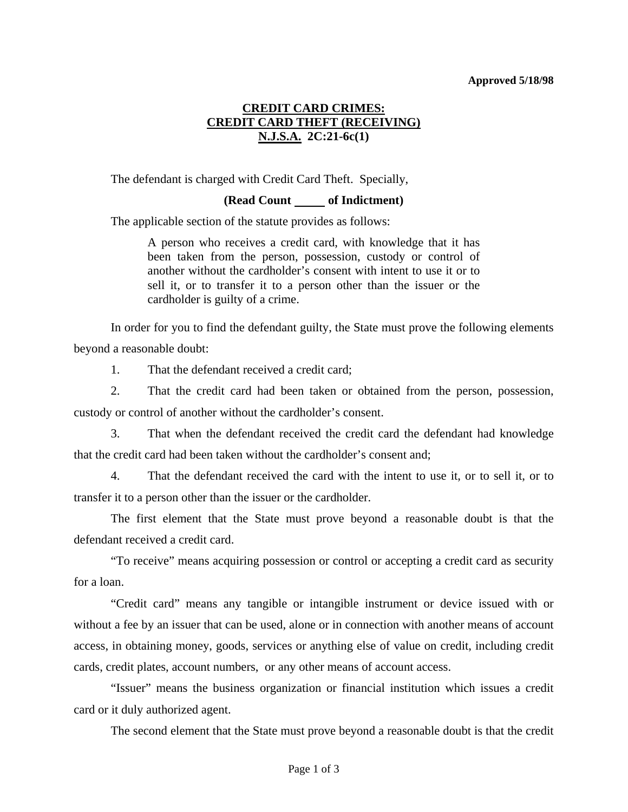## **Approved 5/18/98**

# **CREDIT CARD CRIMES: CREDIT CARD THEFT (RECEIVING) N.J.S.A. 2C:21-6c(1)**

The defendant is charged with Credit Card Theft. Specially,

# **(Read Count of Indictment)**

The applicable section of the statute provides as follows:

A person who receives a credit card, with knowledge that it has been taken from the person, possession, custody or control of another without the cardholder's consent with intent to use it or to sell it, or to transfer it to a person other than the issuer or the cardholder is guilty of a crime.

 In order for you to find the defendant guilty, the State must prove the following elements beyond a reasonable doubt:

1. That the defendant received a credit card;

 2. That the credit card had been taken or obtained from the person, possession, custody or control of another without the cardholder's consent.

 3. That when the defendant received the credit card the defendant had knowledge that the credit card had been taken without the cardholder's consent and;

 4. That the defendant received the card with the intent to use it, or to sell it, or to transfer it to a person other than the issuer or the cardholder.

 The first element that the State must prove beyond a reasonable doubt is that the defendant received a credit card.

 "To receive" means acquiring possession or control or accepting a credit card as security for a loan.

 "Credit card" means any tangible or intangible instrument or device issued with or without a fee by an issuer that can be used, alone or in connection with another means of account access, in obtaining money, goods, services or anything else of value on credit, including credit cards, credit plates, account numbers, or any other means of account access.

<span id="page-0-0"></span> "Issuer" means the business organization or financial institution which issues a credit card or it duly authorized agent.

The second element that the State must prove beyond a reasonable doubt is that the credit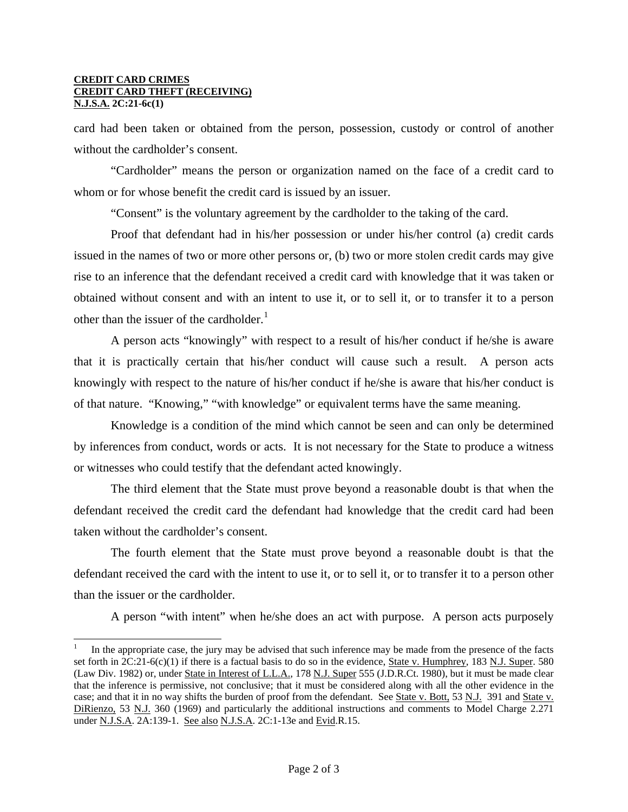#### **CREDIT CARD CRIMES CREDIT CARD THEFT (RECEIVING) N.J.S.A. 2C:21-6c(1)**

 $\overline{a}$ 

card had been taken or obtained from the person, possession, custody or control of another without the cardholder's consent.

 "Cardholder" means the person or organization named on the face of a credit card to whom or for whose benefit the credit card is issued by an issuer.

"Consent" is the voluntary agreement by the cardholder to the taking of the card.

 Proof that defendant had in his/her possession or under his/her control (a) credit cards issued in the names of two or more other persons or, (b) two or more stolen credit cards may give rise to an inference that the defendant received a credit card with knowledge that it was taken or obtained without consent and with an intent to use it, or to sell it, or to transfer it to a person other than the issuer of the cardholder.<sup>[1](#page-0-0)</sup>

 A person acts "knowingly" with respect to a result of his/her conduct if he/she is aware that it is practically certain that his/her conduct will cause such a result. A person acts knowingly with respect to the nature of his/her conduct if he/she is aware that his/her conduct is of that nature. "Knowing," "with knowledge" or equivalent terms have the same meaning.

 Knowledge is a condition of the mind which cannot be seen and can only be determined by inferences from conduct, words or acts. It is not necessary for the State to produce a witness or witnesses who could testify that the defendant acted knowingly.

 The third element that the State must prove beyond a reasonable doubt is that when the defendant received the credit card the defendant had knowledge that the credit card had been taken without the cardholder's consent.

 The fourth element that the State must prove beyond a reasonable doubt is that the defendant received the card with the intent to use it, or to sell it, or to transfer it to a person other than the issuer or the cardholder.

A person "with intent" when he/she does an act with purpose. A person acts purposely

<sup>1</sup> In the appropriate case, the jury may be advised that such inference may be made from the presence of the facts set forth in  $2C:21-6(c)(1)$  if there is a factual basis to do so in the evidence, **State v. Humphrey**, 183 N.J. Super. 580 (Law Div. 1982) or, under State in Interest of L.L.A., 178 N.J. Super 555 (J.D.R.Ct. 1980), but it must be made clear that the inference is permissive, not conclusive; that it must be considered along with all the other evidence in the case; and that it in no way shifts the burden of proof from the defendant. See State v. Bott, 53 N.J. 391 and State v. DiRienzo, 53 N.J. 360 (1969) and particularly the additional instructions and comments to Model Charge 2.271 under <u>N.J.S.A</u>. 2A:139-1. See also N.J.S.A. 2C:1-13e and Evid.R.15.